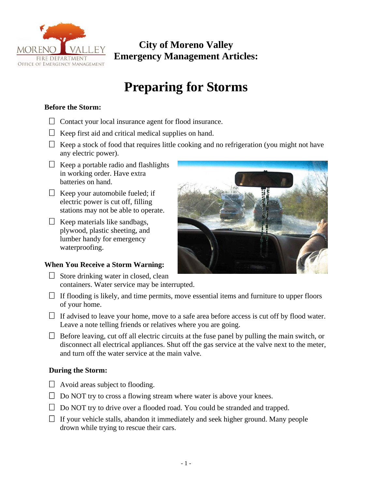

## **City of Moreno Valley Emergency Management Articles:**

# **Preparing for Storms**

#### **Before the Storm:**

- $\Box$  Contact your local insurance agent for flood insurance.
- $\Box$  Keep first aid and critical medical supplies on hand.
- $\Box$  Keep a stock of food that requires little cooking and no refrigeration (you might not have any electric power).
- $\Box$  Keep a portable radio and flashlights in working order. Have extra batteries on hand.
- $\Box$  Keep your automobile fueled; if electric power is cut off, filling stations may not be able to operate.
- $\Box$  Keep materials like sandbags, plywood, plastic sheeting, and lumber handy for emergency waterproofing.

### **When You Receive a Storm Warning:**

- $\Box$  Store drinking water in closed, clean containers. Water service may be interrupted.
- $\Box$  If flooding is likely, and time permits, move essential items and furniture to upper floors of your home.
- $\Box$  If advised to leave your home, move to a safe area before access is cut off by flood water. Leave a note telling friends or relatives where you are going.
- $\Box$  Before leaving, cut off all electric circuits at the fuse panel by pulling the main switch, or disconnect all electrical appliances. Shut off the gas service at the valve next to the meter, and turn off the water service at the main valve.

#### **During the Storm:**

- $\Box$  Avoid areas subject to flooding.
- $\Box$  Do NOT try to cross a flowing stream where water is above your knees.
- $\Box$  Do NOT try to drive over a flooded road. You could be stranded and trapped.
- $\Box$  If your vehicle stalls, abandon it immediately and seek higher ground. Many people drown while trying to rescue their cars.

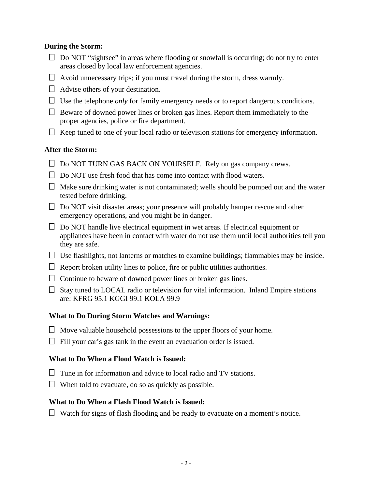#### **During the Storm:**

- $\Box$  Do NOT "sightsee" in areas where flooding or snowfall is occurring; do not try to enter areas closed by local law enforcement agencies.
- $\Box$  Avoid unnecessary trips; if you must travel during the storm, dress warmly.
- $\Box$  Advise others of your destination.
- $\Box$  Use the telephone *only* for family emergency needs or to report dangerous conditions.
- $\Box$  Beware of downed power lines or broken gas lines. Report them immediately to the proper agencies, police or fire department.
- $\Box$  Keep tuned to one of your local radio or television stations for emergency information.

#### **After the Storm:**

- $\Box$  Do NOT TURN GAS BACK ON YOURSELF. Rely on gas company crews.
- $\Box$  Do NOT use fresh food that has come into contact with flood waters.
- $\Box$  Make sure drinking water is not contaminated; wells should be pumped out and the water tested before drinking.
- $\Box$  Do NOT visit disaster areas; your presence will probably hamper rescue and other emergency operations, and you might be in danger.
- $\Box$  Do NOT handle live electrical equipment in wet areas. If electrical equipment or appliances have been in contact with water do not use them until local authorities tell you they are safe.
- $\Box$  Use flashlights, not lanterns or matches to examine buildings; flammables may be inside.
- $\Box$  Report broken utility lines to police, fire or public utilities authorities.
- $\Box$  Continue to beware of downed power lines or broken gas lines.
- $\Box$  Stay tuned to LOCAL radio or television for vital information. Inland Empire stations are: KFRG 95.1 KGGI 99.1 KOLA 99.9

#### **What to Do During Storm Watches and Warnings:**

- $\Box$  Move valuable household possessions to the upper floors of your home.
- $\Box$  Fill your car's gas tank in the event an evacuation order is issued.

#### **What to Do When a Flood Watch is Issued:**

- $\Box$  Tune in for information and advice to local radio and TV stations.
- $\Box$  When told to evacuate, do so as quickly as possible.

#### **What to Do When a Flash Flood Watch is Issued:**

 $\Box$  Watch for signs of flash flooding and be ready to evacuate on a moment's notice.